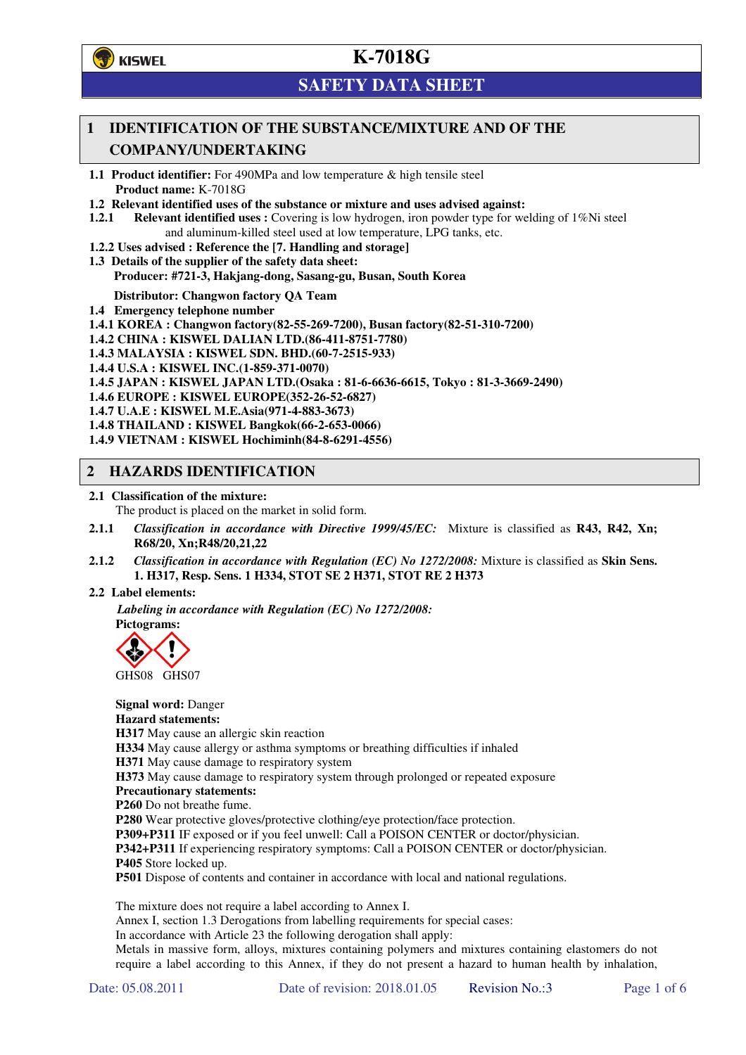**学**)KISWEL

# **K-7018G**

# **SAFETY DATA SHEET**

# **1 IDENTIFICATION OF THE SUBSTANCE/MIXTURE AND OF THE COMPANY/UNDERTAKING**

**1.1 Product identifier:** For 490MPa and low temperature & high tensile steel **Product name:** K-7018G

- **1.2 Relevant identified uses of the substance or mixture and uses advised against:**
- **1.2.1 Relevant identified uses :** Covering is low hydrogen, iron powder type for welding of 1%Ni steel and aluminum-killed steel used at low temperature, LPG tanks, etc.
- **1.2.2 Uses advised : Reference the [7. Handling and storage]**
- **1.3 Details of the supplier of the safety data sheet: Producer: #721-3, Hakjang-dong, Sasang-gu, Busan, South Korea**

**Distributor: Changwon factory QA Team** 

- **1.4 Emergency telephone number**
- **1.4.1 KOREA : Changwon factory(82-55-269-7200), Busan factory(82-51-310-7200)**
- **1.4.2 CHINA : KISWEL DALIAN LTD.(86-411-8751-7780)**
- **1.4.3 MALAYSIA : KISWEL SDN. BHD.(60-7-2515-933)**
- **1.4.4 U.S.A : KISWEL INC.(1-859-371-0070)**
- **1.4.5 JAPAN : KISWEL JAPAN LTD.(Osaka : 81-6-6636-6615, Tokyo : 81-3-3669-2490)**
- **1.4.6 EUROPE : KISWEL EUROPE(352-26-52-6827)**
- **1.4.7 U.A.E : KISWEL M.E.Asia(971-4-883-3673)**
- **1.4.8 THAILAND : KISWEL Bangkok(66-2-653-0066)**
- **1.4.9 VIETNAM : KISWEL Hochiminh(84-8-6291-4556)**

## **2 HAZARDS IDENTIFICATION**

**2.1 Classification of the mixture:** 

The product is placed on the market in solid form.

- **2.1.1** *Classification in accordance with Directive 1999/45/EC:* Mixture is classified as **R43, R42, Xn; R68/20, Xn;R48/20,21,22**
- **2.1.2** *Classification in accordance with Regulation (EC) No 1272/2008:* Mixture is classified as **Skin Sens. 1. H317, Resp. Sens. 1 H334, STOT SE 2 H371, STOT RE 2 H373**
- **2.2 Label elements:**

*Labeling in accordance with Regulation (EC) No 1272/2008:*  **Pictograms:** 



GHS08 GHS07

**Signal word:** Danger **Hazard statements: H317** May cause an allergic skin reaction **H334** May cause allergy or asthma symptoms or breathing difficulties if inhaled **H371** May cause damage to respiratory system **H373** May cause damage to respiratory system through prolonged or repeated exposure **Precautionary statements: P260** Do not breathe fume. **P280** Wear protective gloves/protective clothing/eye protection/face protection. **P309+P311** IF exposed or if you feel unwell: Call a POISON CENTER or doctor/physician. **P342+P311** If experiencing respiratory symptoms: Call a POISON CENTER or doctor/physician. **P405** Store locked up.

**P501** Dispose of contents and container in accordance with local and national regulations.

The mixture does not require a label according to Annex I.

Annex I, section 1.3 Derogations from labelling requirements for special cases:

In accordance with Article 23 the following derogation shall apply:

Metals in massive form, alloys, mixtures containing polymers and mixtures containing elastomers do not require a label according to this Annex, if they do not present a hazard to human health by inhalation,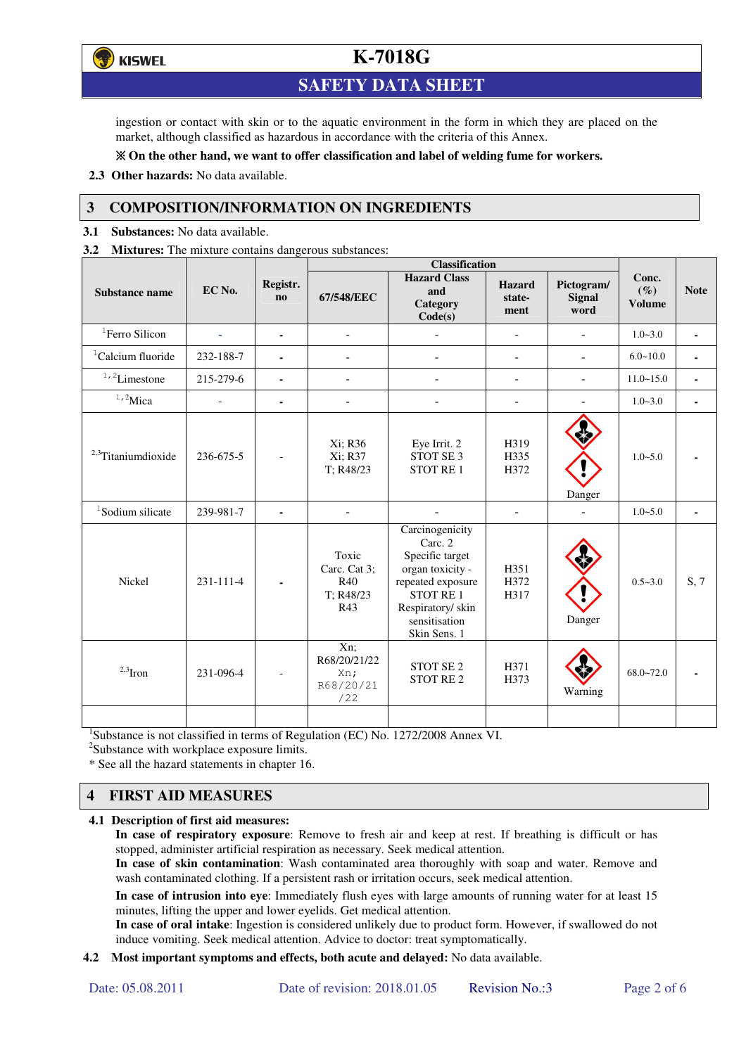**()** KISWEL

# **K-7018G**

# **SAFETY DATA SHEET**

ingestion or contact with skin or to the aquatic environment in the form in which they are placed on the market, although classified as hazardous in accordance with the criteria of this Annex.

### **On the other hand, we want to offer classification and label of welding fume for workers.**

**2.3 Other hazards:** No data available.

## **3 COMPOSITION/INFORMATION ON INGREDIENTS**

**3.1 Substances:** No data available.

**3.2 Mixtures:** The mixture contains dangerous substances:

|                                |                          |                | <b>Classification</b>                            |                                                                                                                                                                 |                                 |                                     |                                  |              |
|--------------------------------|--------------------------|----------------|--------------------------------------------------|-----------------------------------------------------------------------------------------------------------------------------------------------------------------|---------------------------------|-------------------------------------|----------------------------------|--------------|
| <b>Substance name</b>          | EC No.                   | Registr.<br>no | 67/548/EEC                                       | <b>Hazard Class</b><br>and<br>Category<br>Code(s)                                                                                                               | <b>Hazard</b><br>state-<br>ment | Pictogram/<br><b>Signal</b><br>word | Conc.<br>$(\%)$<br><b>Volume</b> | <b>Note</b>  |
| <sup>1</sup> Ferro Silicon     | $\overline{\phantom{a}}$ | ٠              | $\blacksquare$                                   |                                                                                                                                                                 | $\blacksquare$                  | $\blacksquare$                      | $1.0 - 3.0$                      | $\mathbf{r}$ |
| ${}^{1}$ Calcium fluoride      | 232-188-7                |                |                                                  |                                                                                                                                                                 | $\blacksquare$                  | $\blacksquare$                      | $6.0 - 10.0$                     |              |
| $1, 2$ Limestone               | 215-279-6                | $\sim$         |                                                  |                                                                                                                                                                 |                                 | $\overline{a}$                      | $11.0 - 15.0$                    |              |
| $^{\mathrm{1,2}}$ Mica         |                          | $\blacksquare$ |                                                  |                                                                                                                                                                 | ٠                               |                                     | $1.0 - 3.0$                      |              |
| <sup>2,3</sup> Titaniumdioxide | 236-675-5                |                | Xi; R36<br>Xi; R37<br>T; R48/23                  | Eye Irrit. 2<br>STOT SE <sub>3</sub><br><b>STOT RE1</b>                                                                                                         | H319<br>H335<br>H372            | Danger                              | $1.0 - 5.0$                      |              |
| <sup>1</sup> Sodium silicate   | 239-981-7                |                |                                                  |                                                                                                                                                                 | $\overline{\phantom{a}}$        |                                     | $1.0 - 5.0$                      |              |
| Nickel                         | $231 - 111 - 4$          |                | Toxic<br>Carc. Cat 3:<br>R40<br>T: R48/23<br>R43 | Carcinogenicity<br>Carc. 2<br>Specific target<br>organ toxicity -<br>repeated exposure<br><b>STOT RE1</b><br>Respiratory/ skin<br>sensitisation<br>Skin Sens. 1 | H351<br>H372<br>H317            | Danger                              | $0.5 - 3.0$                      | S, 7         |
| $2,3$ Iron                     | 231-096-4                |                | Xn;<br>R68/20/21/22<br>Xn;<br>R68/20/21<br>/22   | STOT SE <sub>2</sub><br>STOT RE <sub>2</sub>                                                                                                                    | H371<br>H373                    | Warning                             | $68.0 - 72.0$                    |              |
|                                |                          |                |                                                  |                                                                                                                                                                 |                                 |                                     |                                  |              |

<sup>1</sup>Substance is not classified in terms of Regulation (EC) No. 1272/2008 Annex VI.

<sup>2</sup>Substance with workplace exposure limits.

\* See all the hazard statements in chapter 16.

## **4 FIRST AID MEASURES**

### **4.1 Description of first aid measures:**

**In case of respiratory exposure**: Remove to fresh air and keep at rest. If breathing is difficult or has stopped, administer artificial respiration as necessary. Seek medical attention.

**In case of skin contamination**: Wash contaminated area thoroughly with soap and water. Remove and wash contaminated clothing. If a persistent rash or irritation occurs, seek medical attention.

 **In case of intrusion into eye**: Immediately flush eyes with large amounts of running water for at least 15 minutes, lifting the upper and lower eyelids. Get medical attention.

**In case of oral intake**: Ingestion is considered unlikely due to product form. However, if swallowed do not induce vomiting. Seek medical attention. Advice to doctor: treat symptomatically.

### **4.2 Most important symptoms and effects, both acute and delayed:** No data available.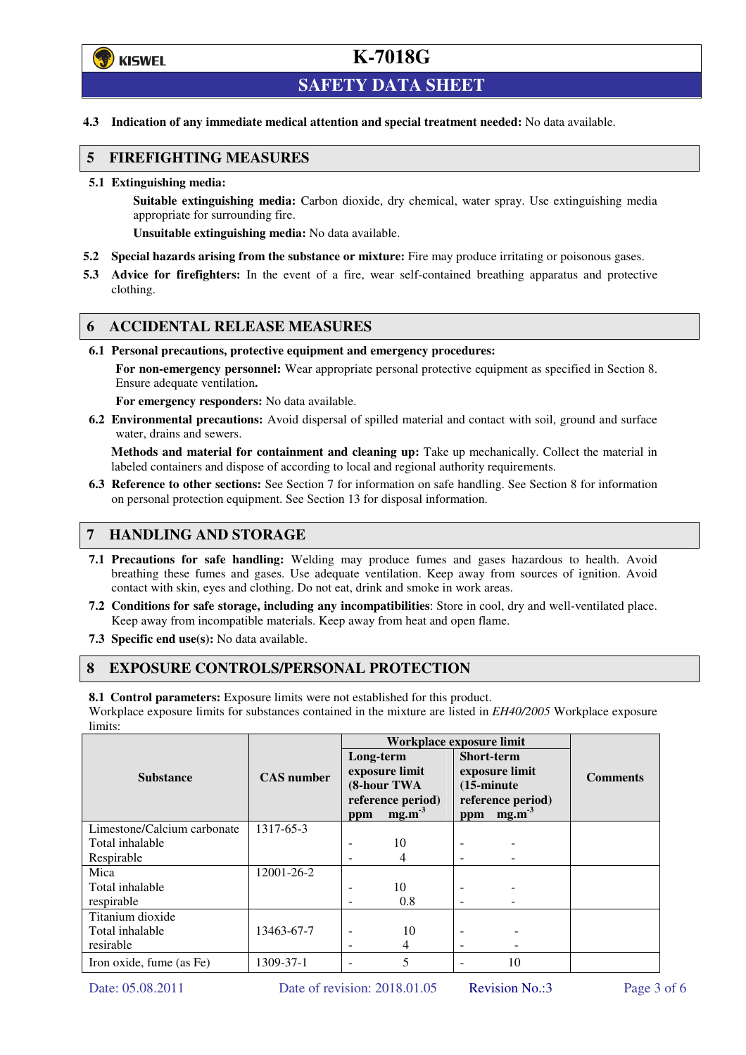

# **K-7018G**

# **SAFETY DATA SHEET**

**4.3 Indication of any immediate medical attention and special treatment needed:** No data available.

### **5 FIREFIGHTING MEASURES**

**5.1 Extinguishing media:** 

**Suitable extinguishing media:** Carbon dioxide, dry chemical, water spray. Use extinguishing media appropriate for surrounding fire.

**Unsuitable extinguishing media:** No data available.

- **5.2 Special hazards arising from the substance or mixture:** Fire may produce irritating or poisonous gases.
- **5.3 Advice for firefighters:** In the event of a fire, wear self-contained breathing apparatus and protective clothing.

## **6 ACCIDENTAL RELEASE MEASURES**

**6.1 Personal precautions, protective equipment and emergency procedures:** 

**For non-emergency personnel:** Wear appropriate personal protective equipment as specified in Section 8. Ensure adequate ventilation**.** 

**For emergency responders:** No data available.

**6.2 Environmental precautions:** Avoid dispersal of spilled material and contact with soil, ground and surface water, drains and sewers.

**Methods and material for containment and cleaning up:** Take up mechanically. Collect the material in labeled containers and dispose of according to local and regional authority requirements.

**6.3 Reference to other sections:** See Section 7 for information on safe handling. See Section 8 for information on personal protection equipment. See Section 13 for disposal information.

### **7 HANDLING AND STORAGE**

- **7.1 Precautions for safe handling:** Welding may produce fumes and gases hazardous to health. Avoid breathing these fumes and gases. Use adequate ventilation. Keep away from sources of ignition. Avoid contact with skin, eyes and clothing. Do not eat, drink and smoke in work areas.
- **7.2 Conditions for safe storage, including any incompatibilities**: Store in cool, dry and well-ventilated place. Keep away from incompatible materials. Keep away from heat and open flame.
- **7.3 Specific end use(s):** No data available.

## **8 EXPOSURE CONTROLS/PERSONAL PROTECTION**

**8.1 Control parameters:** Exposure limits were not established for this product.

Workplace exposure limits for substances contained in the mixture are listed in *EH40/2005* Workplace exposure limits:

|                             |                   | Workplace exposure limit                                                           |     |                                                                                                              |    |                 |  |
|-----------------------------|-------------------|------------------------------------------------------------------------------------|-----|--------------------------------------------------------------------------------------------------------------|----|-----------------|--|
| <b>Substance</b>            | <b>CAS</b> number | Long-term<br>exposure limit<br>(8-hour TWA<br>reference period)<br>$mg.m-3$<br>ppm |     | <b>Short-term</b><br>exposure limit<br>$(15\text{-minute})$<br>reference period)<br>mg.m <sup>3</sup><br>ppm |    | <b>Comments</b> |  |
| Limestone/Calcium carbonate | 1317-65-3         |                                                                                    |     |                                                                                                              |    |                 |  |
| Total inhalable             |                   | $\overline{\phantom{a}}$                                                           | 10  | $\overline{\phantom{0}}$                                                                                     |    |                 |  |
| Respirable                  |                   |                                                                                    | 4   |                                                                                                              |    |                 |  |
| Mica                        | 12001-26-2        |                                                                                    |     |                                                                                                              |    |                 |  |
| Total inhalable             |                   |                                                                                    | 10  |                                                                                                              |    |                 |  |
| respirable                  |                   |                                                                                    | 0.8 | $\qquad \qquad \blacksquare$                                                                                 |    |                 |  |
| Titanium dioxide            |                   |                                                                                    |     |                                                                                                              |    |                 |  |
| Total inhalable             | 13463-67-7        | $\overline{\phantom{0}}$                                                           | 10  |                                                                                                              |    |                 |  |
| resirable                   |                   | $\overline{\phantom{a}}$                                                           | 4   |                                                                                                              |    |                 |  |
| Iron oxide, fume (as Fe)    | 1309-37-1         |                                                                                    | 5   |                                                                                                              | 10 |                 |  |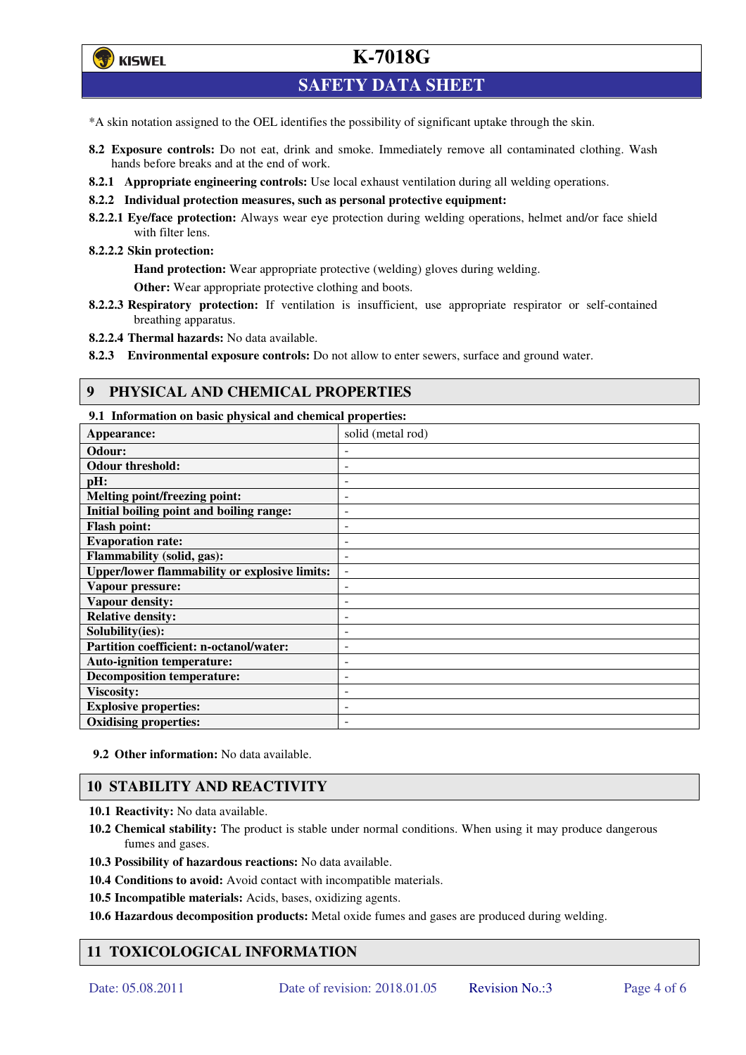**学**)KISWEL

# **K-7018G**

# **SAFETY DATA SHEET**

- \*A skin notation assigned to the OEL identifies the possibility of significant uptake through the skin.
- **8.2 Exposure controls:** Do not eat, drink and smoke. Immediately remove all contaminated clothing. Wash hands before breaks and at the end of work.
- **8.2.1 Appropriate engineering controls:** Use local exhaust ventilation during all welding operations.
- **8.2.2 Individual protection measures, such as personal protective equipment:**
- **8.2.2.1 Eye/face protection:** Always wear eye protection during welding operations, helmet and/or face shield with filter lens.

#### **8.2.2.2 Skin protection:**

**Hand protection:** Wear appropriate protective (welding) gloves during welding.

**Other:** Wear appropriate protective clothing and boots.

- **8.2.2.3 Respiratory protection:** If ventilation is insufficient, use appropriate respirator or self-contained breathing apparatus.
- **8.2.2.4 Thermal hazards:** No data available.
- **8.2.3 Environmental exposure controls:** Do not allow to enter sewers, surface and ground water.

### **9 PHYSICAL AND CHEMICAL PROPERTIES**

**9.1 Information on basic physical and chemical properties:** 

| Appearance:                                          | solid (metal rod)        |
|------------------------------------------------------|--------------------------|
| Odour:                                               |                          |
| <b>Odour threshold:</b>                              |                          |
| pH:                                                  |                          |
| Melting point/freezing point:                        | $\overline{\phantom{0}}$ |
| Initial boiling point and boiling range:             | $\overline{\phantom{0}}$ |
| <b>Flash point:</b>                                  |                          |
| <b>Evaporation rate:</b>                             |                          |
| Flammability (solid, gas):                           |                          |
| <b>Upper/lower flammability or explosive limits:</b> | $\overline{\phantom{a}}$ |
| Vapour pressure:                                     | $\blacksquare$           |
| Vapour density:                                      | ٠                        |
| <b>Relative density:</b>                             |                          |
| Solubility(ies):                                     |                          |
| Partition coefficient: n-octanol/water:              | $\qquad \qquad -$        |
| <b>Auto-ignition temperature:</b>                    | $\overline{\phantom{0}}$ |
| <b>Decomposition temperature:</b>                    | ٠                        |
| <b>Viscosity:</b>                                    |                          |
| <b>Explosive properties:</b>                         |                          |
| <b>Oxidising properties:</b>                         | $\overline{\phantom{a}}$ |

#### **9.2 Other information:** No data available.

### **10 STABILITY AND REACTIVITY**

- **10.1 Reactivity:** No data available.
- **10.2 Chemical stability:** The product is stable under normal conditions. When using it may produce dangerous fumes and gases.
- **10.3 Possibility of hazardous reactions:** No data available.
- **10.4 Conditions to avoid:** Avoid contact with incompatible materials.
- **10.5 Incompatible materials:** Acids, bases, oxidizing agents.

**10.6 Hazardous decomposition products:** Metal oxide fumes and gases are produced during welding.

# **11 TOXICOLOGICAL INFORMATION**

Date: 05.08.2011 Date of revision: 2018.01.05 Revision No.:3 Page 4 of 6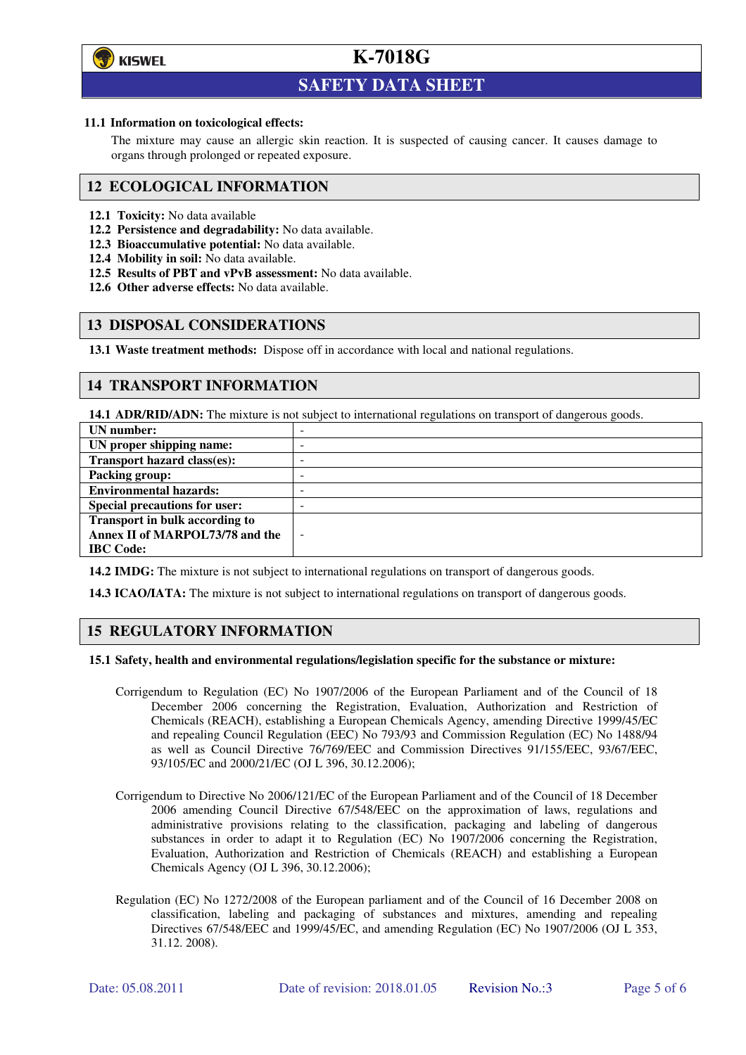

l

# **K-7018G**

# **SAFETY DATA SHEET**

#### **11.1 Information on toxicological effects:**

The mixture may cause an allergic skin reaction. It is suspected of causing cancer. It causes damage to organs through prolonged or repeated exposure.

### **12 ECOLOGICAL INFORMATION**

- **12.1 Toxicity:** No data available
- **12.2 Persistence and degradability:** No data available.
- **12.3 Bioaccumulative potential:** No data available.
- **12.4 Mobility in soil:** No data available.
- **12.5 Results of PBT and vPvB assessment:** No data available.
- **12.6 Other adverse effects:** No data available.

## **13 DISPOSAL CONSIDERATIONS**

**13.1 Waste treatment methods:** Dispose off in accordance with local and national regulations.

## **14 TRANSPORT INFORMATION**

**14.1 ADR/RID/ADN:** The mixture is not subject to international regulations on transport of dangerous goods.

| UN number:                            | - |
|---------------------------------------|---|
| UN proper shipping name:              |   |
| Transport hazard class(es):           | - |
| <b>Packing group:</b>                 |   |
| <b>Environmental hazards:</b>         |   |
| <b>Special precautions for user:</b>  |   |
| <b>Transport in bulk according to</b> |   |
| Annex II of MARPOL73/78 and the       |   |
| <b>IBC</b> Code:                      |   |

**14.2 IMDG:** The mixture is not subject to international regulations on transport of dangerous goods.

**14.3 ICAO/IATA:** The mixture is not subject to international regulations on transport of dangerous goods.

# **15 REGULATORY INFORMATION**

#### **15.1 Safety, health and environmental regulations/legislation specific for the substance or mixture:**

- Corrigendum to Regulation (EC) No 1907/2006 of the European Parliament and of the Council of 18 December 2006 concerning the Registration, Evaluation, Authorization and Restriction of Chemicals (REACH), establishing a European Chemicals Agency, amending Directive 1999/45/EC and repealing Council Regulation (EEC) No 793/93 and Commission Regulation (EC) No 1488/94 as well as Council Directive 76/769/EEC and Commission Directives 91/155/EEC, 93/67/EEC, 93/105/EC and 2000/21/EC (OJ L 396, 30.12.2006);
- Corrigendum to Directive No 2006/121/EC of the European Parliament and of the Council of 18 December 2006 amending Council Directive 67/548/EEC on the approximation of laws, regulations and administrative provisions relating to the classification, packaging and labeling of dangerous substances in order to adapt it to Regulation (EC) No 1907/2006 concerning the Registration, Evaluation, Authorization and Restriction of Chemicals (REACH) and establishing a European Chemicals Agency (OJ L 396, 30.12.2006);
- Regulation (EC) No 1272/2008 of the European parliament and of the Council of 16 December 2008 on classification, labeling and packaging of substances and mixtures, amending and repealing Directives 67/548/EEC and 1999/45/EC, and amending Regulation (EC) No 1907/2006 (OJ L 353, 31.12. 2008).